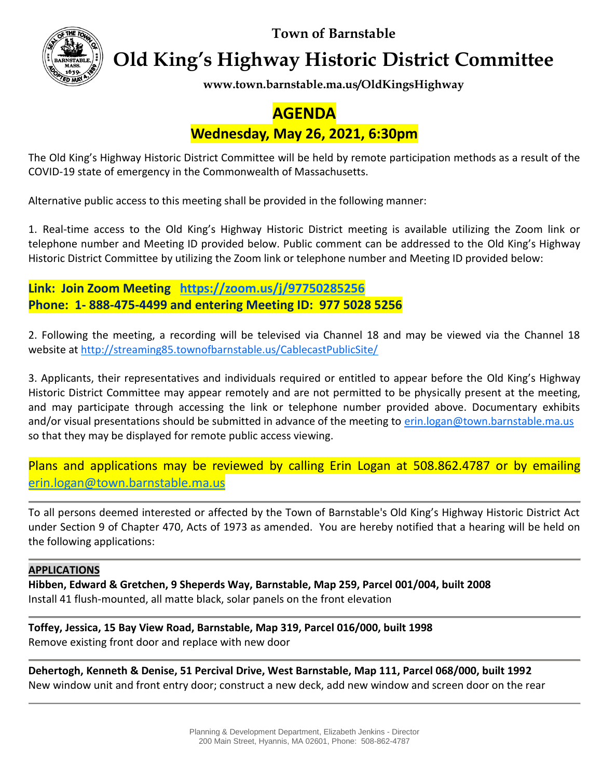**Town of Barnstable**



**Old King's Highway Historic District Committee**

**www.town.barnstable.ma.us/OldKingsHighway**

# **AGENDA Wednesday, May 26, 2021, 6:30pm**

The Old King's Highway Historic District Committee will be held by remote participation methods as a result of the COVID-19 state of emergency in the Commonwealth of Massachusetts.

Alternative public access to this meeting shall be provided in the following manner:

1. Real-time access to the Old King's Highway Historic District meeting is available utilizing the Zoom link or telephone number and Meeting ID provided below. Public comment can be addressed to the Old King's Highway Historic District Committee by utilizing the Zoom link or telephone number and Meeting ID provided below:

**Link: Join Zoom Meeting <https://zoom.us/j/97750285256> Phone: 1- 888-475-4499 and entering Meeting ID: 977 5028 5256**

2. Following the meeting, a recording will be televised via Channel 18 and may be viewed via the Channel 18 website at<http://streaming85.townofbarnstable.us/CablecastPublicSite/>

3. Applicants, their representatives and individuals required or entitled to appear before the Old King's Highway Historic District Committee may appear remotely and are not permitted to be physically present at the meeting, and may participate through accessing the link or telephone number provided above. Documentary exhibits and/or visual presentations should be submitted in advance of the meeting to [erin.logan@town.barnstable.ma.us](mailto:erin.logan@town.barnstable.ma.us) so that they may be displayed for remote public access viewing.

Plans and applications may be reviewed by calling Erin Logan at 508.862.4787 or by emailing [erin.logan@town.barnstable.ma.us](mailto:erin.logan@town.barnstable.ma.us)

To all persons deemed interested or affected by the Town of Barnstable's Old King's Highway Historic District Act under Section 9 of Chapter 470, Acts of 1973 as amended. You are hereby notified that a hearing will be held on the following applications:

## **APPLICATIONS**

**Hibben, Edward & Gretchen, 9 Sheperds Way, Barnstable, Map 259, Parcel 001/004, built 2008** Install 41 flush-mounted, all matte black, solar panels on the front elevation

**Toffey, Jessica, 15 Bay View Road, Barnstable, Map 319, Parcel 016/000, built 1998** Remove existing front door and replace with new door

**Dehertogh, Kenneth & Denise, 51 Percival Drive, West Barnstable, Map 111, Parcel 068/000, built 1992** New window unit and front entry door; construct a new deck, add new window and screen door on the rear